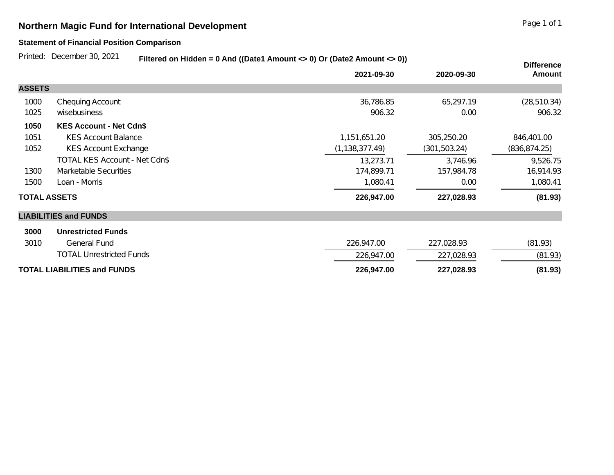## **Northern Magic Fund for International Development Page 1 of 1** Page 1 of 1

## **Statement of Financial Position Comparison**

Printed: December 30, 2021

**Filtered on Hidden = 0 And ((Date1 Amount <> 0) Or (Date2 Amount <> 0))**

|                                    |                                 | $\frac{1}{2}$ and $\frac{1}{2}$ and $\frac{1}{2}$ and $\frac{1}{2}$ and $\frac{1}{2}$ and $\frac{1}{2}$ and $\frac{1}{2}$ and $\frac{1}{2}$ and $\frac{1}{2}$ |               | <b>Difference</b> |
|------------------------------------|---------------------------------|---------------------------------------------------------------------------------------------------------------------------------------------------------------|---------------|-------------------|
|                                    |                                 | 2021-09-30                                                                                                                                                    | 2020-09-30    | <b>Amount</b>     |
| <b>ASSETS</b>                      |                                 |                                                                                                                                                               |               |                   |
| 1000                               | <b>Chequing Account</b>         | 36,786.85                                                                                                                                                     | 65,297.19     | (28, 510.34)      |
| 1025                               | wisebusiness                    | 906.32                                                                                                                                                        | 0.00          | 906.32            |
| 1050                               | <b>KES Account - Net Cdn\$</b>  |                                                                                                                                                               |               |                   |
| 1051                               | <b>KES Account Balance</b>      | 1,151,651.20                                                                                                                                                  | 305,250.20    | 846,401.00        |
| 1052                               | <b>KES Account Exchange</b>     | (1, 138, 377.49)                                                                                                                                              | (301, 503.24) | (836, 874.25)     |
|                                    | TOTAL KES Account - Net Cdn\$   | 13,273.71                                                                                                                                                     | 3,746.96      | 9,526.75          |
| 1300                               | <b>Marketable Securities</b>    | 174,899.71                                                                                                                                                    | 157,984.78    | 16,914.93         |
| 1500                               | Loan - Morris                   | 1,080.41                                                                                                                                                      | 0.00          | 1,080.41          |
| <b>TOTAL ASSETS</b>                |                                 | 226,947.00                                                                                                                                                    | 227,028.93    | (81.93)           |
|                                    | <b>LIABILITIES and FUNDS</b>    |                                                                                                                                                               |               |                   |
| 3000                               | <b>Unrestricted Funds</b>       |                                                                                                                                                               |               |                   |
| 3010                               | <b>General Fund</b>             | 226,947.00                                                                                                                                                    | 227,028.93    | (81.93)           |
|                                    | <b>TOTAL Unrestricted Funds</b> | 226,947.00                                                                                                                                                    | 227,028.93    | (81.93)           |
| <b>TOTAL LIABILITIES and FUNDS</b> |                                 | 226,947.00                                                                                                                                                    | 227,028.93    | (81.93)           |